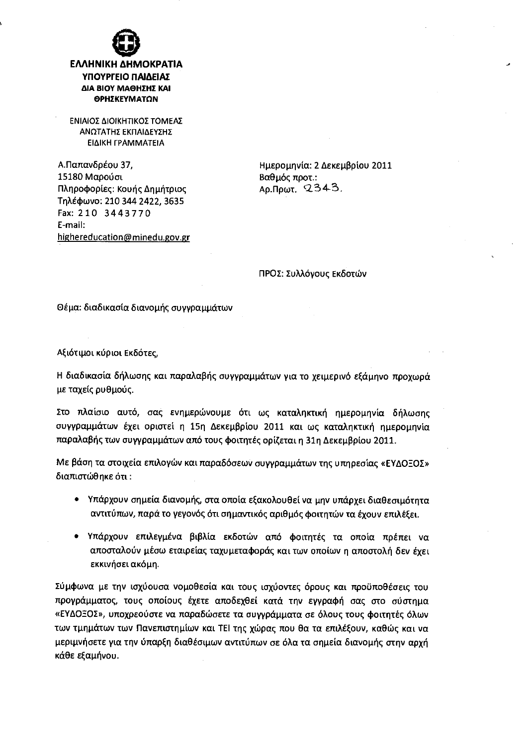

## ΕΛΛΗΝΙΚΗ ΔΗΜΟΚΡΑΤΙΑ ΥΠΟΥΡΓΕΙΟ ΠΑΙΔΕΙΑΣ ΔΙΑ ΒΙΟΥ ΜΑΘΗΣΗΣ ΚΑΙ ΘΡΗΣΚΕΥΜΑΤΩΝ

ΕΝΙΑΙΟΣ ΔΙΟΙΚΗΤΙΚΟΣ ΤΟΜΕΑΣ ΑΝΩΤΑΤΗΣ ΕΚΠΑΙΔΕΥΣΗΣ ΕΙΔΙΚΗ ΓΡΑΜΜΑΤΕΙΑ

Α.Παπανδρέου 37, 15180 Μαρούσι Πληροφορίες: Κουής Δημήτριος Τηλέφωνο: 210 344 2422, 3635 Fax: 210 3443770 E-mail: highereducation@minedu.gov.gr Ημερομηνία: 2 Δεκεμβρίου 2011 Βαθμός προτ.: Αρ.Πρωτ. 2343.

ΠΡΟΣ: Συλλόγους Εκδοτών

Θέμα: διαδικασία διανομής συγγραμμάτων

Αξιότιμοι κύριοι Εκδότες,

Η διαδικασία δήλωσης και παραλαβής συγγραμμάτων για το χειμερινό εξάμηνο προχωρά με ταχείς ρυθμούς.

Στο πλαίσιο αυτό, σας ενημερώνουμε ότι ως καταληκτική ημερομηνία δήλωσης συγγραμμάτων έχει οριστεί η 15η Δεκεμβρίου 2011 και ως καταληκτική ημερομηνία παραλαβής των συγγραμμάτων από τους φοιτητές ορίζεται η 31η Δεκεμβρίου 2011.

Με βάση τα στοιχεία επιλογών και παραδόσεων συγγραμμάτων της υπηρεσίας «ΕΥΔΟΞΟΣ» διαπιστώθηκε ότι:

- Υπάρχουν σημεία διανομής, στα οποία εξακολουθεί να μην υπάρχει διαθεσιμότητα αντιτύπων, παρά το γεγονός ότι σημαντικός αριθμός φοιτητών τα έχουν επιλέξει.
- · Υπάρχουν επιλεγμένα βιβλία εκδοτών από φοιτητές τα οποία πρέπει να αποσταλούν μέσω εταιρείας ταχυμεταφοράς και των οποίων η αποστολή δεν έχει εκκινήσει ακόμη.

Σύμφωνα με την ισχύουσα νομοθεσία και τους ισχύοντες όρους και προϋποθέσεις του προγράμματος, τους οποίους έχετε αποδεχθεί κατά την εγγραφή σας στο σύστημα «ΕΥΔΟΞΟΣ», υποχρεούστε να παραδώσετε τα συγγράμματα σε όλους τους φοιτητές όλων των τμημάτων των Πανεπιστημίων και ΤΕΙ της χώρας που θα τα επιλέξουν, καθώς και να μεριμνήσετε για την ύπαρξη διαθέσιμων αντιτύπων σε όλα τα σημεία διανομής στην αρχή κάθε εξαμήνου.